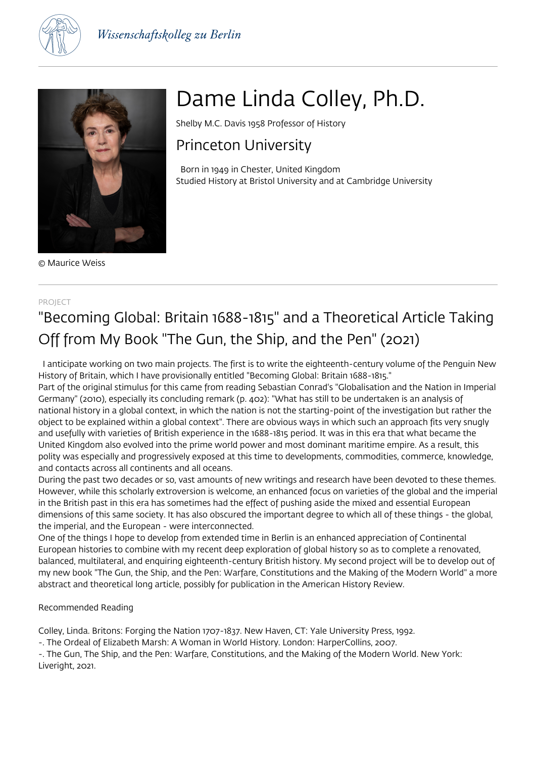



© Maurice Weiss

# Dame Linda Colley, Ph.D.

Shelby M.C. Davis 1958 Professor of History

### Princeton University

 Born in 1949 in Chester, United Kingdom Studied History at Bristol University and at Cambridge University

#### PROJECT

## "Becoming Global: Britain 1688-1815" and a Theoretical Article Taking Off from My Book "The Gun, the Ship, and the Pen" (2021)

 I anticipate working on two main projects. The first is to write the eighteenth-century volume of the Penguin New History of Britain, which I have provisionally entitled "Becoming Global: Britain 1688-1815."

Part of the original stimulus for this came from reading Sebastian Conrad's "Globalisation and the Nation in Imperial Germany" (2010), especially its concluding remark (p. 402): "What has still to be undertaken is an analysis of national history in a global context, in which the nation is not the starting-point of the investigation but rather the object to be explained within a global context". There are obvious ways in which such an approach fits very snugly and usefully with varieties of British experience in the 1688-1815 period. It was in this era that what became the United Kingdom also evolved into the prime world power and most dominant maritime empire. As a result, this polity was especially and progressively exposed at this time to developments, commodities, commerce, knowledge, and contacts across all continents and all oceans.

During the past two decades or so, vast amounts of new writings and research have been devoted to these themes. However, while this scholarly extroversion is welcome, an enhanced focus on varieties of the global and the imperial in the British past in this era has sometimes had the effect of pushing aside the mixed and essential European dimensions of this same society. It has also obscured the important degree to which all of these things - the global, the imperial, and the European - were interconnected.

One of the things I hope to develop from extended time in Berlin is an enhanced appreciation of Continental European histories to combine with my recent deep exploration of global history so as to complete a renovated, balanced, multilateral, and enquiring eighteenth-century British history. My second project will be to develop out of my new book "The Gun, the Ship, and the Pen: Warfare, Constitutions and the Making of the Modern World" a more abstract and theoretical long article, possibly for publication in the American History Review.

#### Recommended Reading

Colley, Linda. Britons: Forging the Nation 1707-1837. New Haven, CT: Yale University Press, 1992.

-. The Ordeal of Elizabeth Marsh: A Woman in World History. London: HarperCollins, 2007.

-. The Gun, The Ship, and the Pen: Warfare, Constitutions, and the Making of the Modern World. New York: Liveright, 2021.